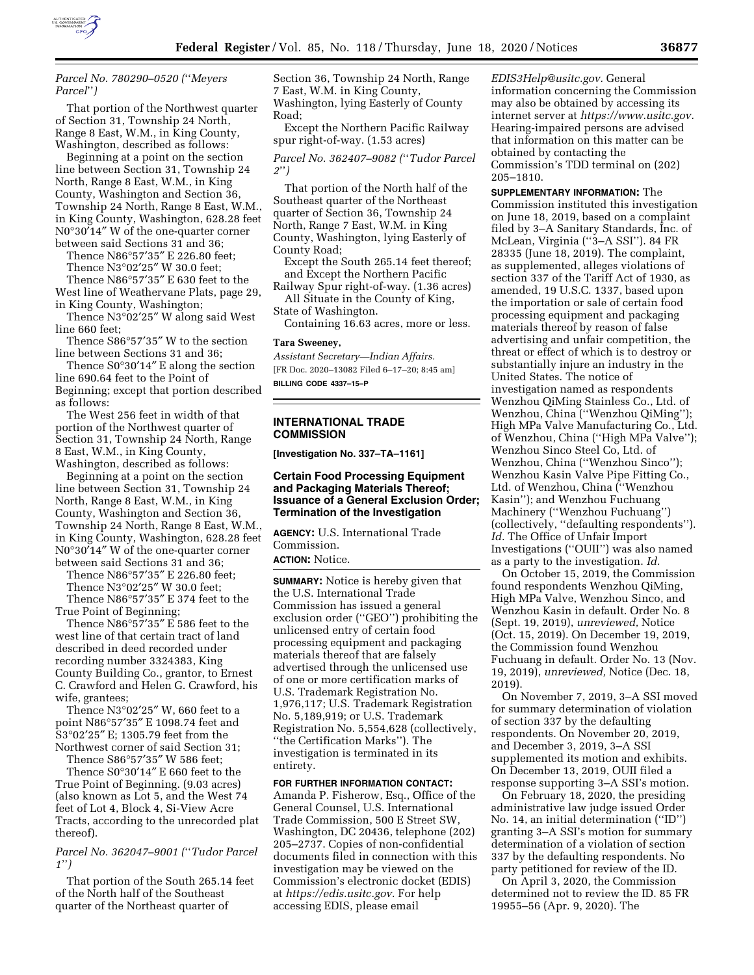

# *Parcel No. 780290–0520 (*''*Meyers Parcel*''*)*

That portion of the Northwest quarter of Section 31, Township 24 North, Range 8 East, W.M., in King County, Washington, described as follows:

Beginning at a point on the section line between Section 31, Township 24 North, Range 8 East, W.M., in King County, Washington and Section 36, Township 24 North, Range 8 East, W.M., in King County, Washington, 628.28 feet N0°30′14″ W of the one-quarter corner between said Sections 31 and 36;

Thence N86°57′35″ E 226.80 feet;

Thence N3°02′25″ W 30.0 feet;

Thence N86°57′35″ E 630 feet to the West line of Weathervane Plats, page 29, in King County, Washington;

Thence N3°02′25″ W along said West line 660 feet;

Thence S86°57′35″ W to the section line between Sections 31 and 36;

Thence S0°30′14″ E along the section line 690.64 feet to the Point of Beginning; except that portion described as follows:

The West 256 feet in width of that portion of the Northwest quarter of Section 31, Township 24 North, Range 8 East, W.M., in King County, Washington, described as follows:

Beginning at a point on the section line between Section 31, Township 24 North, Range 8 East, W.M., in King County, Washington and Section 36, Township 24 North, Range 8 East, W.M., in King County, Washington, 628.28 feet N0°30′14″ W of the one-quarter corner between said Sections 31 and 36;

Thence N86°57′35″ E 226.80 feet;

Thence N3°02′25″ W 30.0 feet;

Thence N86°57′35″ E 374 feet to the True Point of Beginning;

Thence N86°57′35″ E 586 feet to the west line of that certain tract of land described in deed recorded under recording number 3324383, King County Building Co., grantor, to Ernest C. Crawford and Helen G. Crawford, his wife, grantees;

Thence N3°02′25″ W, 660 feet to a point N86°57′35″ E 1098.74 feet and S3°02′25″ E; 1305.79 feet from the Northwest corner of said Section 31;

Thence S86°57′35″ W 586 feet;

Thence S0°30′14″ E 660 feet to the True Point of Beginning. (9.03 acres) (also known as Lot 5, and the West 74 feet of Lot 4, Block 4, Si-View Acre Tracts, according to the unrecorded plat thereof).

*Parcel No. 362047–9001 (*''*Tudor Parcel 1*''*)* 

That portion of the South 265.14 feet of the North half of the Southeast quarter of the Northeast quarter of

Section 36, Township 24 North, Range 7 East, W.M. in King County, Washington, lying Easterly of County Road;

Except the Northern Pacific Railway spur right-of-way. (1.53 acres)

*Parcel No. 362407–9082 (*''*Tudor Parcel 2*''*)* 

That portion of the North half of the Southeast quarter of the Northeast quarter of Section 36, Township 24 North, Range 7 East, W.M. in King County, Washington, lying Easterly of County Road;

Except the South 265.14 feet thereof; and Except the Northern Pacific

Railway Spur right-of-way. (1.36 acres) All Situate in the County of King, State of Washington.

Containing 16.63 acres, more or less.

#### **Tara Sweeney,**

*Assistant Secretary—Indian Affairs.*  [FR Doc. 2020–13082 Filed 6–17–20; 8:45 am] **BILLING CODE 4337–15–P** 

**INTERNATIONAL TRADE COMMISSION** 

**[Investigation No. 337–TA–1161]** 

### **Certain Food Processing Equipment and Packaging Materials Thereof; Issuance of a General Exclusion Order; Termination of the Investigation**

**AGENCY:** U.S. International Trade Commission.

**ACTION:** Notice.

**SUMMARY:** Notice is hereby given that the U.S. International Trade Commission has issued a general exclusion order (''GEO'') prohibiting the unlicensed entry of certain food processing equipment and packaging materials thereof that are falsely advertised through the unlicensed use of one or more certification marks of U.S. Trademark Registration No. 1,976,117; U.S. Trademark Registration No. 5,189,919; or U.S. Trademark Registration No. 5,554,628 (collectively, ''the Certification Marks''). The investigation is terminated in its entirety.

**FOR FURTHER INFORMATION CONTACT:**  Amanda P. Fisherow, Esq., Office of the General Counsel, U.S. International Trade Commission, 500 E Street SW, Washington, DC 20436, telephone (202) 205–2737. Copies of non-confidential documents filed in connection with this investigation may be viewed on the Commission's electronic docket (EDIS) at *[https://edis.usitc.gov.](https://edis.usitc.gov)* For help accessing EDIS, please email

*[EDIS3Help@usitc.gov.](mailto:EDIS3Help@usitc.gov)* General information concerning the Commission may also be obtained by accessing its internet server at *[https://www.usitc.gov.](https://www.usitc.gov)*  Hearing-impaired persons are advised that information on this matter can be obtained by contacting the Commission's TDD terminal on (202) 205–1810.

**SUPPLEMENTARY INFORMATION:** The Commission instituted this investigation on June 18, 2019, based on a complaint filed by 3–A Sanitary Standards, Inc. of McLean, Virginia (''3–A SSI''). 84 FR 28335 (June 18, 2019). The complaint, as supplemented, alleges violations of section 337 of the Tariff Act of 1930, as amended, 19 U.S.C. 1337, based upon the importation or sale of certain food processing equipment and packaging materials thereof by reason of false advertising and unfair competition, the threat or effect of which is to destroy or substantially injure an industry in the United States. The notice of investigation named as respondents Wenzhou QiMing Stainless Co., Ltd. of Wenzhou, China (''Wenzhou QiMing''); High MPa Valve Manufacturing Co., Ltd. of Wenzhou, China (''High MPa Valve''); Wenzhou Sinco Steel Co, Ltd. of Wenzhou, China (''Wenzhou Sinco''); Wenzhou Kasin Valve Pipe Fitting Co., Ltd. of Wenzhou, China (''Wenzhou Kasin''); and Wenzhou Fuchuang Machinery (''Wenzhou Fuchuang'') (collectively, ''defaulting respondents''). *Id.* The Office of Unfair Import Investigations (''OUII'') was also named as a party to the investigation. *Id.* 

On October 15, 2019, the Commission found respondents Wenzhou QiMing, High MPa Valve, Wenzhou Sinco, and Wenzhou Kasin in default. Order No. 8 (Sept. 19, 2019), *unreviewed,* Notice (Oct. 15, 2019). On December 19, 2019, the Commission found Wenzhou Fuchuang in default. Order No. 13 (Nov. 19, 2019), *unreviewed,* Notice (Dec. 18, 2019).

On November 7, 2019, 3–A SSI moved for summary determination of violation of section 337 by the defaulting respondents. On November 20, 2019, and December 3, 2019, 3–A SSI supplemented its motion and exhibits. On December 13, 2019, OUII filed a response supporting 3–A SSI's motion.

On February 18, 2020, the presiding administrative law judge issued Order No. 14, an initial determination (''ID'') granting 3–A SSI's motion for summary determination of a violation of section 337 by the defaulting respondents. No party petitioned for review of the ID.

On April 3, 2020, the Commission determined not to review the ID. 85 FR 19955–56 (Apr. 9, 2020). The